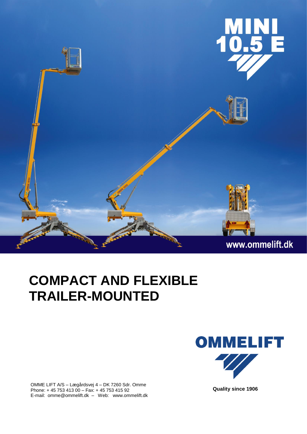

## **COMPACT AND FLEXIBLE TRAILER-MOUNTED**

OMME LIFT A/S – Lægårdsvej 4 – DK 7260 Sdr. Omme Phone: + 45 753 413 00 – Fax: + 45 753 415 92 E-mail: omme@ommelift.dk – Web: www.ommelift.dk



 **Quality since 1906**